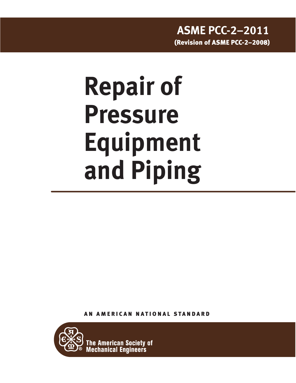## **Repair of Pressure Equipment and Piping**

AN AMERICAN NATIONAL STANDARD



The American Society of<br>Mechanical Engineers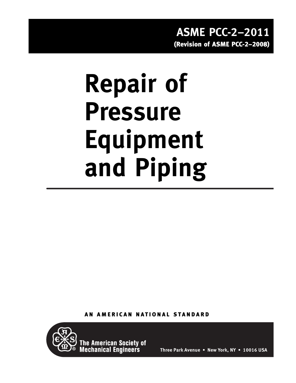## **Repair of Pressure Equipment and Piping**

AN AMERICAN NATIONAL STANDARD



The American Society of<br>Mechanical Engineers

**Three Park Avenue • New York, NY • 10016 USA**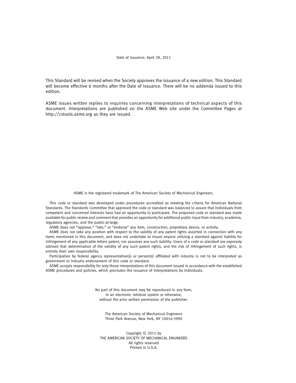This Standard will be revised when the Society approves the issuance of a new edition. This Standard will become effective 6 months after the Date of Issuance. There will be no addenda issued to this edition.

ASME issues written replies to inquiries concerning interpretations of technical aspects of this document. Interpretations are published on the ASME Web site under the Committee Pages at http://cstools.asme.org as they are issued.

ASME is the registered trademark of The American Society of Mechanical Engineers.

This code or standard was developed under procedures accredited as meeting the criteria for American National Standards. The Standards Committee that approved the code or standard was balanced to assure that individuals from competent and concerned interests have had an opportunity to participate. The proposed code or standard was made available for public review and comment that provides an opportunity for additional public input from industry, academia, regulatory agencies, and the public-at-large.

ASME does not "approve," "rate," or "endorse" any item, construction, proprietary device, or activity.

ASME does not take any position with respect to the validity of any patent rights asserted in connection with any items mentioned in this document, and does not undertake to insure anyone utilizing a standard against liability for infringement of any applicable letters patent, nor assumes any such liability. Users of a code or standard are expressly advised that determination of the validity of any such patent rights, and the risk of infringement of such rights, is entirely their own responsibility.

Participation by federal agency representative(s) or person(s) affiliated with industry is not to be interpreted as government or industry endorsement of this code or standard.

ASME accepts responsibility for only those interpretations of this document issued in accordance with the established ASME procedures and policies, which precludes the issuance of interpretations by individuals.

> No part of this document may be reproduced in any form, in an electronic retrieval system or otherwise, without the prior written permission of the publisher.

The American Society of Mechanical Engineers Three Park Avenue, New York, NY 10016-5990

Copyright © 2011 by THE AMERICAN SOCIETY OF MECHANICAL ENGINEERS All rights reserved Printed in U.S.A.